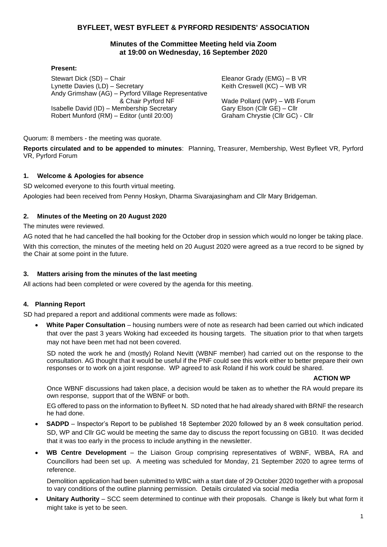## **BYFLEET, WEST BYFLEET & PYRFORD RESIDENTS' ASSOCIATION**

### **Minutes of the Committee Meeting held via Zoom at 19:00 on Wednesday, 16 September 2020**

#### **Present:**

Stewart Dick (SD) – Chair Lynette Davies (LD) – Secretary Andy Grimshaw (AG) – Pyrford Village Representative & Chair Pyrford NF Isabelle David (ID) – Membership Secretary Robert Munford (RM) – Editor (until 20:00)

Eleanor Grady (EMG) – B VR Keith Creswell (KC) – WB VR

Wade Pollard (WP) – WB Forum Gary Elson (Cllr GE) – Cllr Graham Chrystie (Cllr GC) - Cllr

Quorum: 8 members - the meeting was quorate.

**Reports circulated and to be appended to minutes**: Planning, Treasurer, Membership, West Byfleet VR, Pyrford VR, Pyrford Forum

### **1. Welcome & Apologies for absence**

SD welcomed everyone to this fourth virtual meeting. Apologies had been received from Penny Hoskyn, Dharma Sivarajasingham and Cllr Mary Bridgeman.

### **2. Minutes of the Meeting on 20 August 2020**

The minutes were reviewed.

AG noted that he had cancelled the hall booking for the October drop in session which would no longer be taking place. With this correction, the minutes of the meeting held on 20 August 2020 were agreed as a true record to be signed by the Chair at some point in the future.

### **3. Matters arising from the minutes of the last meeting**

All actions had been completed or were covered by the agenda for this meeting.

### **4. Planning Report**

SD had prepared a report and additional comments were made as follows:

• **White Paper Consultation** – housing numbers were of note as research had been carried out which indicated that over the past 3 years Woking had exceeded its housing targets. The situation prior to that when targets may not have been met had not been covered.

SD noted the work he and (mostly) Roland Nevitt (WBNF member) had carried out on the response to the consultation. AG thought that it would be useful if the PNF could see this work either to better prepare their own responses or to work on a joint response. WP agreed to ask Roland if his work could be shared.

### **ACTION WP**

Once WBNF discussions had taken place, a decision would be taken as to whether the RA would prepare its own response, support that of the WBNF or both.

EG offered to pass on the information to Byfleet N. SD noted that he had already shared with BRNF the research he had done.

- **SADPD** Inspector's Report to be published 18 September 2020 followed by an 8 week consultation period. SD, WP and Cllr GC would be meeting the same day to discuss the report focussing on GB10. It was decided that it was too early in the process to include anything in the newsletter.
- **WB Centre Development** the Liaison Group comprising representatives of WBNF, WBBA, RA and Councillors had been set up. A meeting was scheduled for Monday, 21 September 2020 to agree terms of reference.

Demolition application had been submitted to WBC with a start date of 29 October 2020 together with a proposal to vary conditions of the outline planning permission. Details circulated via social media

• **Unitary Authority** – SCC seem determined to continue with their proposals. Change is likely but what form it might take is yet to be seen.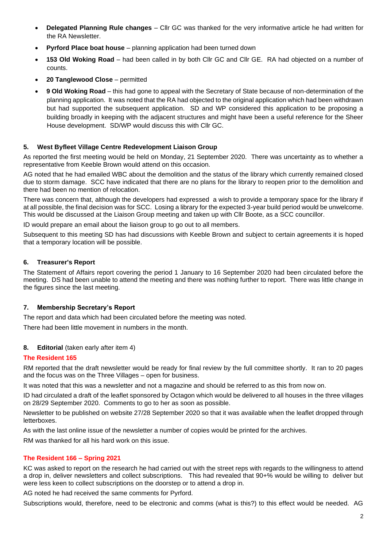- **Delegated Planning Rule changes**  Cllr GC was thanked for the very informative article he had written for the RA Newsletter.
- **Pyrford Place boat house**  planning application had been turned down
- **153 Old Woking Road**  had been called in by both Cllr GC and Cllr GE. RA had objected on a number of counts.
- **20 Tanglewood Close**  permitted
- **9 Old Woking Road** this had gone to appeal with the Secretary of State because of non-determination of the planning application. It was noted that the RA had objected to the original application which had been withdrawn but had supported the subsequent application. SD and WP considered this application to be proposing a building broadly in keeping with the adjacent structures and might have been a useful reference for the Sheer House development. SD/WP would discuss this with Cllr GC.

### **5. West Byfleet Village Centre Redevelopment Liaison Group**

As reported the first meeting would be held on Monday, 21 September 2020. There was uncertainty as to whether a representative from Keeble Brown would attend on this occasion.

AG noted that he had emailed WBC about the demolition and the status of the library which currently remained closed due to storm damage. SCC have indicated that there are no plans for the library to reopen prior to the demolition and there had been no mention of relocation.

There was concern that, although the developers had expressed a wish to provide a temporary space for the library if at all possible, the final decision was for SCC. Losing a library for the expected 3-year build period would be unwelcome. This would be discussed at the Liaison Group meeting and taken up with Cllr Boote, as a SCC councillor.

ID would prepare an email about the liaison group to go out to all members.

Subsequent to this meeting SD has had discussions with Keeble Brown and subject to certain agreements it is hoped that a temporary location will be possible.

### **6. Treasurer's Report**

The Statement of Affairs report covering the period 1 January to 16 September 2020 had been circulated before the meeting. DS had been unable to attend the meeting and there was nothing further to report. There was little change in the figures since the last meeting.

### **7. Membership Secretary's Report**

The report and data which had been circulated before the meeting was noted. There had been little movement in numbers in the month.

### **8. Editorial** (taken early after item 4)

### **The Resident 165**

RM reported that the draft newsletter would be ready for final review by the full committee shortly. It ran to 20 pages and the focus was on the Three Villages – open for business.

It was noted that this was a newsletter and not a magazine and should be referred to as this from now on.

ID had circulated a draft of the leaflet sponsored by Octagon which would be delivered to all houses in the three villages on 28/29 September 2020. Comments to go to her as soon as possible.

Newsletter to be published on website 27/28 September 2020 so that it was available when the leaflet dropped through letterboxes.

As with the last online issue of the newsletter a number of copies would be printed for the archives.

RM was thanked for all his hard work on this issue.

### **The Resident 166 – Spring 2021**

KC was asked to report on the research he had carried out with the street reps with regards to the willingness to attend a drop in, deliver newsletters and collect subscriptions. This had revealed that 90+% would be willing to deliver but were less keen to collect subscriptions on the doorstep or to attend a drop in.

AG noted he had received the same comments for Pyrford.

Subscriptions would, therefore, need to be electronic and comms (what is this?) to this effect would be needed. AG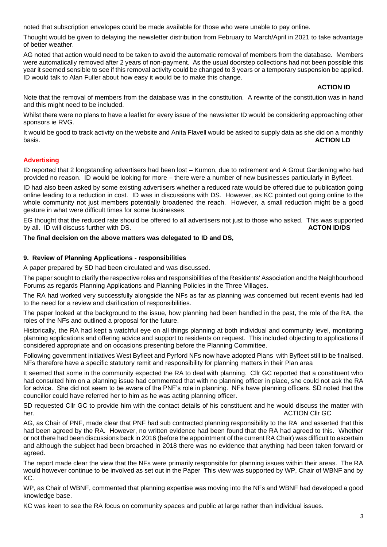noted that subscription envelopes could be made available for those who were unable to pay online.

Thought would be given to delaying the newsletter distribution from February to March/April in 2021 to take advantage of better weather.

AG noted that action would need to be taken to avoid the automatic removal of members from the database. Members were automatically removed after 2 years of non-payment. As the usual doorstep collections had not been possible this year it seemed sensible to see if this removal activity could be changed to 3 years or a temporary suspension be applied. ID would talk to Alan Fuller about how easy it would be to make this change.

### **ACTION ID**

Note that the removal of members from the database was in the constitution. A rewrite of the constitution was in hand and this might need to be included.

Whilst there were no plans to have a leaflet for every issue of the newsletter ID would be considering approaching other sponsors ie RVG.

It would be good to track activity on the website and Anita Flavell would be asked to supply data as she did on a monthly basis. **ACTION LD**

## **Advertising**

ID reported that 2 longstanding advertisers had been lost – Kumon, due to retirement and A Grout Gardening who had provided no reason. ID would be looking for more – there were a number of new businesses particularly in Byfleet.

ID had also been asked by some existing advertisers whether a reduced rate would be offered due to publication going online leading to a reduction in cost. ID was in discussions with DS. However, as KC pointed out going online to the whole community not just members potentially broadened the reach. However, a small reduction might be a good gesture in what were difficult times for some businesses.

EG thought that the reduced rate should be offered to all advertisers not just to those who asked. This was supported by all. ID will discuss further with DS. **ACTON ID/DS**

### **The final decision on the above matters was delegated to ID and DS,**

### **9. Review of Planning Applications - responsibilities**

A paper prepared by SD had been circulated and was discussed.

The paper sought to clarify the respective roles and responsibilities of the Residents' Association and the Neighbourhood Forums as regards Planning Applications and Planning Policies in the Three Villages.

The RA had worked very successfully alongside the NFs as far as planning was concerned but recent events had led to the need for a review and clarification of responsibilities.

The paper looked at the background to the issue, how planning had been handled in the past, the role of the RA, the roles of the NFs and outlined a proposal for the future.

Historically, the RA had kept a watchful eye on all things planning at both individual and community level, monitoring planning applications and offering advice and support to residents on request. This included objecting to applications if considered appropriate and on occasions presenting before the Planning Committee.

Following government initiatives West Byfleet and Pyrford NFs now have adopted Plans with Byfleet still to be finalised. NFs therefore have a specific statutory remit and responsibility for planning matters in their Plan area

It seemed that some in the community expected the RA to deal with planning. Cllr GC reported that a constituent who had consulted him on a planning issue had commented that with no planning officer in place, she could not ask the RA for advice. She did not seem to be aware of the PNF's role in planning. NFs have planning officers. SD noted that the councillor could have referred her to him as he was acting planning officer.

SD requested Cllr GC to provide him with the contact details of his constituent and he would discuss the matter with her. ACTION Clir GC CONSULTER CONSULTER AND THE CONSULTER CONSULTER CONSULTER CONSULTER CONSULTER CONSULTER CONSULTER CONSULTER CONSULTER CONSULTER CONSULTER CONSULTER CONSULTER CONSULTER CONSULTER CONSULTER CONSULTER CONS

AG, as Chair of PNF, made clear that PNF had sub contracted planning responsibility to the RA and asserted that this had been agreed by the RA. However, no written evidence had been found that the RA had agreed to this. Whether or not there had been discussions back in 2016 (before the appointment of the current RA Chair) was difficult to ascertain and although the subject had been broached in 2018 there was no evidence that anything had been taken forward or agreed.

The report made clear the view that the NFs were primarily responsible for planning issues within their areas. The RA would however continue to be involved as set out in the Paper This view was supported by WP, Chair of WBNF and by KC.

WP, as Chair of WBNF, commented that planning expertise was moving into the NFs and WBNF had developed a good knowledge base.

KC was keen to see the RA focus on community spaces and public at large rather than individual issues.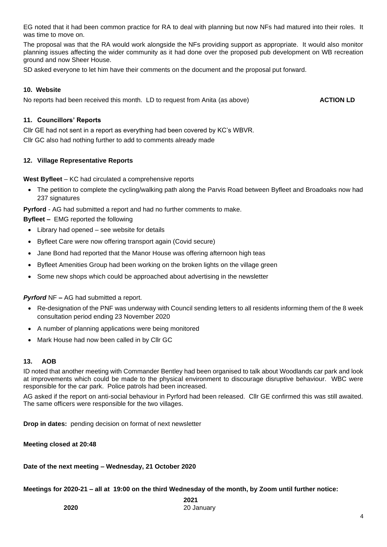EG noted that it had been common practice for RA to deal with planning but now NFs had matured into their roles. It was time to move on.

The proposal was that the RA would work alongside the NFs providing support as appropriate. It would also monitor planning issues affecting the wider community as it had done over the proposed pub development on WB recreation ground and now Sheer House.

SD asked everyone to let him have their comments on the document and the proposal put forward.

#### **10. Website**

No reports had been received this month. LD to request from Anita (as above) **ACTION LD** 

### **11. Councillors' Reports**

Cllr GE had not sent in a report as everything had been covered by KC's WBVR.

Cllr GC also had nothing further to add to comments already made

### **12. Village Representative Reports**

**West Byfleet** – KC had circulated a comprehensive reports

• The petition to complete the cycling/walking path along the Parvis Road between Byfleet and Broadoaks now had 237 signatures

**Pyrford** - AG had submitted a report and had no further comments to make.

**Byfleet –** EMG reported the following

- Library had opened see website for details
- Byfleet Care were now offering transport again (Covid secure)
- Jane Bond had reported that the Manor House was offering afternoon high teas
- Byfleet Amenities Group had been working on the broken lights on the village green
- Some new shops which could be approached about advertising in the newsletter

*Pyrford* NF *–* AG had submitted a report.

- Re-designation of the PNF was underway with Council sending letters to all residents informing them of the 8 week consultation period ending 23 November 2020
- A number of planning applications were being monitored
- Mark House had now been called in by Cllr GC

### **13. AOB**

ID noted that another meeting with Commander Bentley had been organised to talk about Woodlands car park and look at improvements which could be made to the physical environment to discourage disruptive behaviour. WBC were responsible for the car park. Police patrols had been increased.

AG asked if the report on anti-social behaviour in Pyrford had been released. Cllr GE confirmed this was still awaited. The same officers were responsible for the two villages.

**Drop in dates:** pending decision on format of next newsletter

**Meeting closed at 20:48** 

**Date of the next meeting – Wednesday, 21 October 2020**

**Meetings for 2020-21 – all at 19:00 on the third Wednesday of the month, by Zoom until further notice:**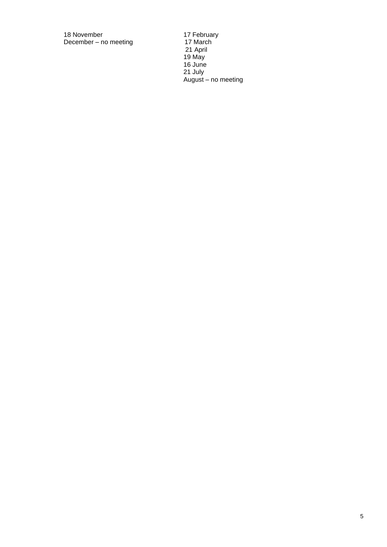18 November 17 February December – no meeting 17 March

21 April 19 May 16 June 21 July August – no meeting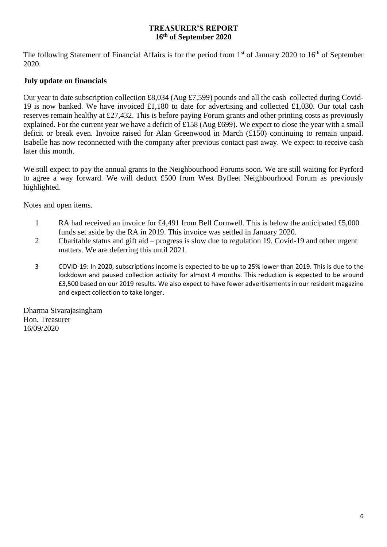## **TREASURER'S REPORT 16th of September 2020**

The following Statement of Financial Affairs is for the period from 1<sup>st</sup> of January 2020 to 16<sup>th</sup> of September 2020.

# **July update on financials**

Our year to date subscription collection £8,034 (Aug £7,599) pounds and all the cash collected during Covid-19 is now banked. We have invoiced £1,180 to date for advertising and collected £1,030. Our total cash reserves remain healthy at £27,432. This is before paying Forum grants and other printing costs as previously explained. For the current year we have a deficit of £158 (Aug £699). We expect to close the year with a small deficit or break even. Invoice raised for Alan Greenwood in March (£150) continuing to remain unpaid. Isabelle has now reconnected with the company after previous contact past away. We expect to receive cash later this month.

We still expect to pay the annual grants to the Neighbourhood Forums soon. We are still waiting for Pyrford to agree a way forward. We will deduct £500 from West Byfleet Neighbourhood Forum as previously highlighted.

Notes and open items.

- 1 RA had received an invoice for £4,491 from Bell Cornwell. This is below the anticipated £5,000 funds set aside by the RA in 2019. This invoice was settled in January 2020.
- 2 Charitable status and gift aid progress is slow due to regulation 19, Covid-19 and other urgent matters. We are deferring this until 2021.
- 3 COVID-19: In 2020, subscriptions income is expected to be up to 25% lower than 2019. This is due to the lockdown and paused collection activity for almost 4 months. This reduction is expected to be around £3,500 based on our 2019 results. We also expect to have fewer advertisements in our resident magazine and expect collection to take longer.

Dharma Sivarajasingham Hon. Treasurer 16/09/2020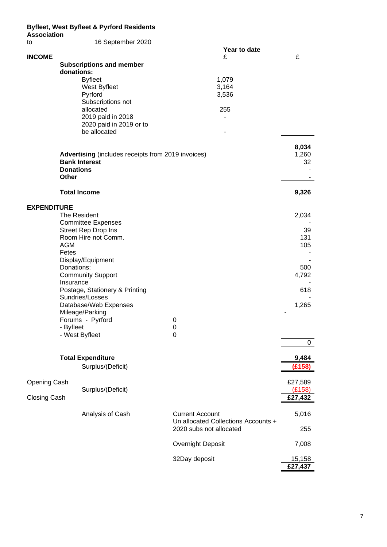## **Byfleet, West Byfleet & Pyrford Residents**

| <b>Association</b>                                              |                                                                                   |                                                              |                                                                |                   |  |  |  |
|-----------------------------------------------------------------|-----------------------------------------------------------------------------------|--------------------------------------------------------------|----------------------------------------------------------------|-------------------|--|--|--|
| to                                                              |                                                                                   | 16 September 2020                                            | Year to date                                                   |                   |  |  |  |
| <b>INCOME</b>                                                   |                                                                                   |                                                              | £                                                              | £                 |  |  |  |
|                                                                 | donations:                                                                        | <b>Subscriptions and member</b>                              |                                                                |                   |  |  |  |
|                                                                 |                                                                                   | <b>Byfleet</b>                                               | 1,079                                                          |                   |  |  |  |
|                                                                 |                                                                                   | West Byfleet<br>Pyrford                                      | 3,164<br>3,536                                                 |                   |  |  |  |
|                                                                 |                                                                                   | Subscriptions not                                            |                                                                |                   |  |  |  |
|                                                                 |                                                                                   | allocated                                                    | 255                                                            |                   |  |  |  |
|                                                                 |                                                                                   | 2019 paid in 2018<br>2020 paid in 2019 or to<br>be allocated |                                                                |                   |  |  |  |
|                                                                 |                                                                                   |                                                              |                                                                | 8,034<br>1,260    |  |  |  |
|                                                                 | <b>Advertising</b> (includes receipts from 2019 invoices)<br><b>Bank Interest</b> |                                                              |                                                                |                   |  |  |  |
|                                                                 | <b>Donations</b>                                                                  |                                                              |                                                                | 32                |  |  |  |
|                                                                 | <b>Other</b>                                                                      |                                                              |                                                                |                   |  |  |  |
|                                                                 | <b>Total Income</b>                                                               | 9,326                                                        |                                                                |                   |  |  |  |
| <b>EXPENDITURE</b>                                              |                                                                                   |                                                              |                                                                |                   |  |  |  |
|                                                                 |                                                                                   | The Resident                                                 |                                                                | 2,034             |  |  |  |
|                                                                 |                                                                                   | <b>Committee Expenses</b><br>Street Rep Drop Ins             |                                                                | 39                |  |  |  |
|                                                                 |                                                                                   | Room Hire not Comm.                                          |                                                                | 131               |  |  |  |
|                                                                 | <b>AGM</b>                                                                        |                                                              |                                                                | 105               |  |  |  |
|                                                                 | Fetes                                                                             | Display/Equipment                                            |                                                                |                   |  |  |  |
|                                                                 | Donations:                                                                        |                                                              | 500                                                            |                   |  |  |  |
|                                                                 |                                                                                   | <b>Community Support</b>                                     |                                                                | 4,792             |  |  |  |
|                                                                 | Insurance                                                                         |                                                              |                                                                |                   |  |  |  |
|                                                                 |                                                                                   | Postage, Stationery & Printing<br>Sundries/Losses            |                                                                | 618               |  |  |  |
|                                                                 |                                                                                   | Database/Web Expenses                                        |                                                                | 1,265             |  |  |  |
|                                                                 |                                                                                   | Mileage/Parking                                              |                                                                |                   |  |  |  |
|                                                                 |                                                                                   | Forums - Pyrford                                             | 0                                                              |                   |  |  |  |
|                                                                 | - Byfleet                                                                         | - West Byfleet                                               | 0<br>0                                                         |                   |  |  |  |
|                                                                 |                                                                                   |                                                              |                                                                | 0                 |  |  |  |
|                                                                 |                                                                                   | <b>Total Expenditure</b>                                     |                                                                | 9,484             |  |  |  |
|                                                                 |                                                                                   | Surplus/(Deficit)                                            |                                                                | (£158)            |  |  |  |
| <b>Opening Cash</b><br>Surplus/(Deficit)<br><b>Closing Cash</b> |                                                                                   |                                                              |                                                                | £27,589<br>(E158) |  |  |  |
|                                                                 |                                                                                   |                                                              |                                                                | £27,432           |  |  |  |
|                                                                 |                                                                                   | Analysis of Cash                                             | <b>Current Account</b>                                         | 5,016             |  |  |  |
|                                                                 |                                                                                   |                                                              | Un allocated Collections Accounts +<br>2020 subs not allocated | 255               |  |  |  |
|                                                                 |                                                                                   |                                                              | <b>Overnight Deposit</b>                                       | 7,008             |  |  |  |
|                                                                 |                                                                                   |                                                              | 32Day deposit                                                  | 15,158<br>£27,437 |  |  |  |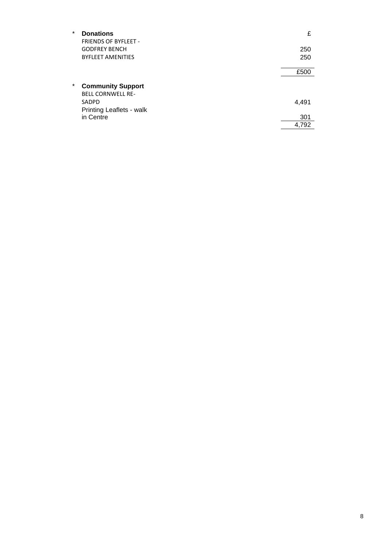| 250   |
|-------|
| 250   |
| £500  |
|       |
| 4,491 |
| 301   |
| 4.792 |
|       |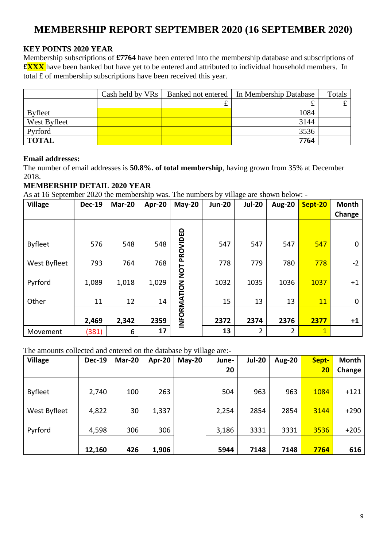# **MEMBERSHIP REPORT SEPTEMBER 2020 (16 SEPTEMBER 2020)**

# **KEY POINTS 2020 YEAR**

Membership subscriptions of **£7764** have been entered into the membership database and subscriptions of **£XXX** have been banked but have yet to be entered and attributed to individual household members. In total £ of membership subscriptions have been received this year.

|                |   | Cash held by VRs   Banked not entered   In Membership Database | Totals |
|----------------|---|----------------------------------------------------------------|--------|
|                | ے | ىد                                                             | ے      |
| <b>Byfleet</b> |   | 1084                                                           |        |
| West Byfleet   |   | 3144                                                           |        |
| Pyrford        |   | 3536                                                           |        |
| <b>TOTAL</b>   |   | 7764                                                           |        |

# **Email addresses:**

The number of email addresses is **50.8%. of total membership**, having grown from 35% at December 2018.

# **MEMBERSHIP DETAIL 2020 YEAR**

As at 16 September 2020 the membership was. The numbers by village are shown below: -

| <b>Village</b> | <b>Dec-19</b> | Mar-20 | Apr-20 | $May-20$    | <b>Jun-20</b> | <b>Jul-20</b> | <b>Aug-20</b>  | Sept-20        | <b>Month</b><br>Change |
|----------------|---------------|--------|--------|-------------|---------------|---------------|----------------|----------------|------------------------|
|                |               |        |        |             |               |               |                |                |                        |
| <b>Byfleet</b> | 576           | 548    | 548    | PROVIDED    | 547           | 547           | 547            | 547            | 0                      |
| West Byfleet   | 793           | 764    | 768    | TON         | 778           | 779           | 780            | 778            | $-2$                   |
| Pyrford        | 1,089         | 1,018  | 1,029  |             | 1032          | 1035          | 1036           | 1037           | $+1$                   |
| Other          | 11            | 12     | 14     |             | 15            | 13            | 13             | 11             | 0                      |
|                | 2,469         | 2,342  | 2359   | INFORMATION | 2372          | 2374          | 2376           | 2377           | $+1$                   |
| Movement       | (381)         | 6      | 17     |             | 13            | 2             | $\overline{2}$ | $\overline{1}$ |                        |

# The amounts collected and entered on the database by village are:-

| <b>Village</b> | <b>Dec-19</b> | Mar-20 | Apr-20 | $May-20$ | June- | <b>Jul-20</b> | <b>Aug-20</b> | Sept- | <b>Month</b> |
|----------------|---------------|--------|--------|----------|-------|---------------|---------------|-------|--------------|
|                |               |        |        |          | 20    |               |               | 20    | Change       |
| <b>Byfleet</b> | 2,740         | 100    | 263    |          | 504   | 963           | 963           | 1084  | $+121$       |
| West Byfleet   | 4,822         | 30     | 1,337  |          | 2,254 | 2854          | 2854          | 3144  | $+290$       |
| Pyrford        | 4,598         | 306    | 306    |          | 3,186 | 3331          | 3331          | 3536  | $+205$       |
|                | 12,160        | 426    | 1,906  |          | 5944  | 7148          | 7148          | 7764  | 616          |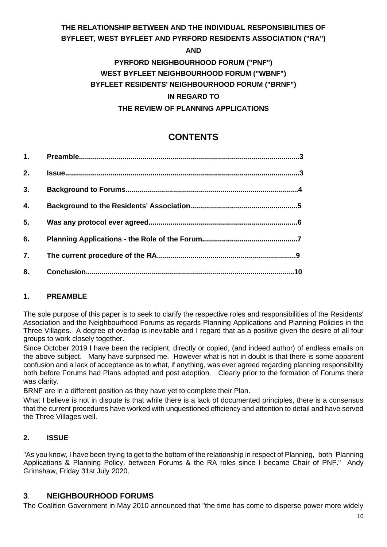# **THE RELATIONSHIP BETWEEN AND THE INDIVIDUAL RESPONSIBILITIES OF BYFLEET, WEST BYFLEET AND PYRFORD RESIDENTS ASSOCIATION ("RA")**

**AND**

# **PYRFORD NEIGHBOURHOOD FORUM ("PNF") WEST BYFLEET NEIGHBOURHOOD FORUM ("WBNF") BYFLEET RESIDENTS' NEIGHBOURHOOD FORUM ("BRNF") IN REGARD TO THE REVIEW OF PLANNING APPLICATIONS**

# **CONTENTS**

| 1.               |     |
|------------------|-----|
| 2.               |     |
| 3.               |     |
| $\overline{4}$ . |     |
| 5.               |     |
| 6.               |     |
| 7.               |     |
| 8.               | .10 |

# **1. PREAMBLE**

The sole purpose of this paper is to seek to clarify the respective roles and responsibilities of the Residents' Association and the Neighbourhood Forums as regards Planning Applications and Planning Policies in the Three Villages. A degree of overlap is inevitable and I regard that as a positive given the desire of all four groups to work closely together.

Since October 2019 I have been the recipient, directly or copied, (and indeed author) of endless emails on the above subject. Many have surprised me. However what is not in doubt is that there is some apparent confusion and a lack of acceptance as to what, if anything, was ever agreed regarding planning responsibility both before Forums had Plans adopted and post adoption. Clearly prior to the formation of Forums there was clarity.

BRNF are in a different position as they have yet to complete their Plan.

What I believe is not in dispute is that while there is a lack of documented principles, there is a consensus that the current procedures have worked with unquestioned efficiency and attention to detail and have served the Three Villages well.

# **2. ISSUE**

"As you know, I have been trying to get to the bottom of the relationship in respect of Planning, both Planning Applications & Planning Policy, between Forums & the RA roles since I became Chair of PNF." Andy Grimshaw, Friday 31st July 2020.

# **3**. **NEIGHBOURHOOD FORUMS**

The Coalition Government in May 2010 announced that "the time has come to disperse power more widely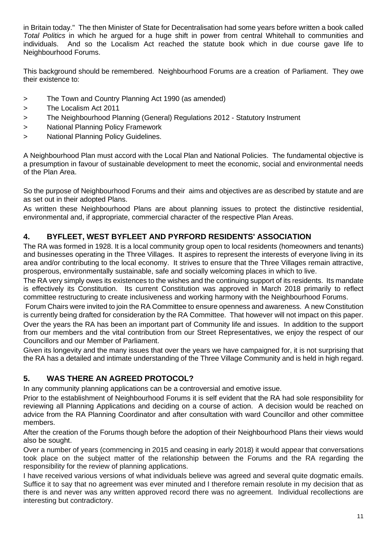in Britain today." The then Minister of State for Decentralisation had some years before written a book called *Total Politics* in which he argued for a huge shift in power from central Whitehall to communities and individuals. And so the Localism Act reached the statute book which in due course gave life to Neighbourhood Forums.

This background should be remembered. Neighbourhood Forums are a creation of Parliament. They owe their existence to:

- > The Town and Country Planning Act 1990 (as amended)
- > The Localism Act 2011
- > The Neighbourhood Planning (General) Regulations 2012 Statutory Instrument
- > National Planning Policy Framework
- > National Planning Policy Guidelines.

A Neighbourhood Plan must accord with the Local Plan and National Policies. The fundamental objective is a presumption in favour of sustainable development to meet the economic, social and environmental needs of the Plan Area.

So the purpose of Neighbourhood Forums and their aims and objectives are as described by statute and are as set out in their adopted Plans.

As written these Neighbourhood Plans are about planning issues to protect the distinctive residential, environmental and, if appropriate, commercial character of the respective Plan Areas.

# **4. BYFLEET, WEST BYFLEET AND PYRFORD RESIDENTS' ASSOCIATION**

The RA was formed in 1928. It is a local community group open to local residents (homeowners and tenants) and businesses operating in the Three Villages. It aspires to represent the interests of everyone living in its area and/or contributing to the local economy. It strives to ensure that the Three Villages remain attractive, prosperous, environmentally sustainable, safe and socially welcoming places in which to live.

The RA very simply owes its existences to the wishes and the continuing support of its residents. Its mandate is effectively its Constitution. Its current Constitution was approved in March 2018 primarily to reflect committee restructuring to create inclusiveness and working harmony with the Neighbourhood Forums.

Forum Chairs were invited to join the RA Committee to ensure openness and awareness. A new Constitution is currently being drafted for consideration by the RA Committee. That however will not impact on this paper.

Over the years the RA has been an important part of Community life and issues. In addition to the support from our members and the vital contribution from our Street Representatives, we enjoy the respect of our Councillors and our Member of Parliament.

Given its longevity and the many issues that over the years we have campaigned for, it is not surprising that the RA has a detailed and intimate understanding of the Three Village Community and is held in high regard.

# **5. WAS THERE AN AGREED PROTOCOL?**

In any community planning applications can be a controversial and emotive issue.

Prior to the establishment of Neighbourhood Forums it is self evident that the RA had sole responsibility for reviewing all Planning Applications and deciding on a course of action. A decision would be reached on advice from the RA Planning Coordinator and after consultation with ward Councillor and other committee members.

After the creation of the Forums though before the adoption of their Neighbourhood Plans their views would also be sought.

Over a number of years (commencing in 2015 and ceasing in early 2018) it would appear that conversations took place on the subject matter of the relationship between the Forums and the RA regarding the responsibility for the review of planning applications.

I have received various versions of what individuals believe was agreed and several quite dogmatic emails. Suffice it to say that no agreement was ever minuted and I therefore remain resolute in my decision that as there is and never was any written approved record there was no agreement. Individual recollections are interesting but contradictory.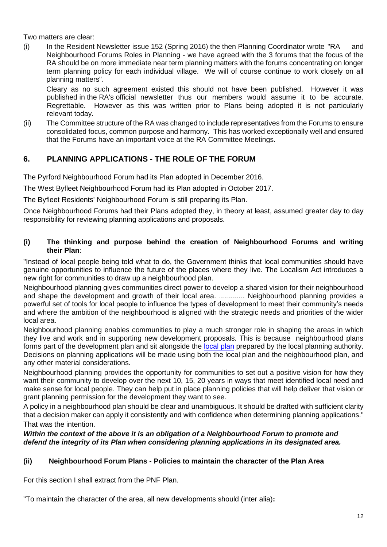Two matters are clear:

(i) In the Resident Newsletter issue 152 (Spring 2016) the then Planning Coordinator wrote "RA and Neighbourhood Forums Roles in Planning - we have agreed with the 3 forums that the focus of the RA should be on more immediate near term planning matters with the forums concentrating on longer term planning policy for each individual village. We will of course continue to work closely on all planning matters".

Cleary as no such agreement existed this should not have been published. However it was published in the RA's official newsletter thus our members would assume it to be accurate. Regrettable. However as this was written prior to Plans being adopted it is not particularly relevant today.

(ii) The Committee structure of the RA was changed to include representatives from the Forums to ensure consolidated focus, common purpose and harmony. This has worked exceptionally well and ensured that the Forums have an important voice at the RA Committee Meetings.

# **6. PLANNING APPLICATIONS - THE ROLE OF THE FORUM**

The Pyrford Neighbourhood Forum had its Plan adopted in December 2016.

The West Byfleet Neighbourhood Forum had its Plan adopted in October 2017.

The Byfleet Residents' Neighbourhood Forum is still preparing its Plan.

Once Neighbourhood Forums had their Plans adopted they, in theory at least, assumed greater day to day responsibility for reviewing planning applications and proposals.

## **(i) The thinking and purpose behind the creation of Neighbourhood Forums and writing their Plan**:

"Instead of local people being told what to do, the Government thinks that local communities should have genuine opportunities to influence the future of the places where they live. The Localism Act introduces a new right for communities to draw up a neighbourhood plan.

Neighbourhood planning gives communities direct power to develop a shared vision for their neighbourhood and shape the development and growth of their local area. ............. Neighbourhood planning provides a powerful set of tools for local people to influence the types of development to meet their community's needs and where the ambition of the neighbourhood is aligned with the strategic needs and priorities of the wider local area.

Neighbourhood planning enables communities to play a much stronger role in shaping the areas in which they live and work and in supporting new development proposals. This is because neighbourhood plans forms part of the development plan and sit alongside the [local](https://www.gov.uk/guidance/local-plans--2) plan prepared by the local planning authority. Decisions on planning applications will be made using both the local plan and the neighbourhood plan, and any other material considerations.

Neighbourhood planning provides the opportunity for communities to set out a positive vision for how they want their community to develop over the next 10, 15, 20 years in ways that meet identified local need and make sense for local people. They can help put in place planning policies that will help deliver that vision or grant planning permission for the development they want to see.

A policy in a neighbourhood plan should be clear and unambiguous. It should be drafted with sufficient clarity that a decision maker can apply it consistently and with confidence when determining planning applications." That was the intention.

### *Within the context of the above it is an obligation of a Neighbourhood Forum to promote and defend the integrity of its Plan when considering planning applications in its designated area.*

# **(ii) Neighbourhood Forum Plans - Policies to maintain the character of the Plan Area**

For this section I shall extract from the PNF Plan.

"To maintain the character of the area, all new developments should (inter alia)**:**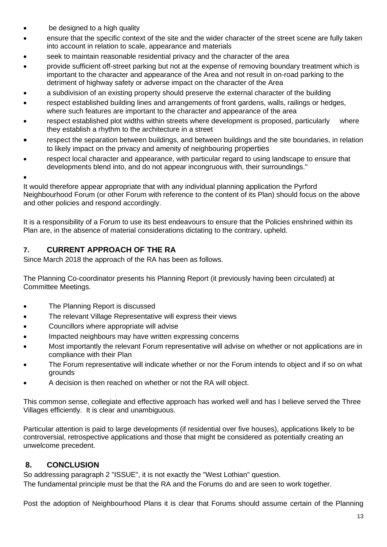- be designed to a high quality
- ensure that the specific context of the site and the wider character of the street scene are fully taken into account in relation to scale, appearance and materials
- seek to maintain reasonable residential privacy and the character of the area
- provide sufficient off-street parking but not at the expense of removing boundary treatment which is important to the character and appearance of the Area and not result in on-road parking to the detriment of highway safety or adverse impact on the character of the Area
- a subdivision of an existing property should preserve the external character of the building
- respect established building lines and arrangements of front gardens, walls, railings or hedges, where such features are important to the character and appearance of the area
- respect established plot widths within streets where development is proposed, particularly where they establish a rhythm to the architecture in a street
- respect the separation between buildings, and between buildings and the site boundaries, in relation to likely impact on the privacy and amenity of neighbouring properties
- respect local character and appearance, with particular regard to using landscape to ensure that developments blend into, and do not appear incongruous with, their surroundings."
- •

It would therefore appear appropriate that with any individual planning application the Pyrford Neighbourhood Forum (or other Forum with reference to the content of its Plan) should focus on the above and other policies and respond accordingly.

It is a responsibility of a Forum to use its best endeavours to ensure that the Policies enshrined within its Plan are, in the absence of material considerations dictating to the contrary, upheld.

# **7. CURRENT APPROACH OF THE RA**

Since March 2018 the approach of the RA has been as follows.

The Planning Co-coordinator presents his Planning Report (it previously having been circulated) at Committee Meetings.

- The Planning Report is discussed
- The relevant Village Representative will express their views
- Councillors where appropriate will advise
- Impacted neighbours may have written expressing concerns
- Most importantly the relevant Forum representative will advise on whether or not applications are in compliance with their Plan
- The Forum representative will indicate whether or nor the Forum intends to object and if so on what grounds
- A decision is then reached on whether or not the RA will object.

This common sense, collegiate and effective approach has worked well and has I believe served the Three Villages efficiently. It is clear and unambiguous.

Particular attention is paid to large developments (if residential over five houses), applications likely to be controversial, retrospective applications and those that might be considered as potentially creating an unwelcome precedent.

# **8. CONCLUSION**

So addressing paragraph 2 "ISSUE", it is not exactly the "West Lothian" question. The fundamental principle must be that the RA and the Forums do and are seen to work together.

Post the adoption of Neighbourhood Plans it is clear that Forums should assume certain of the Planning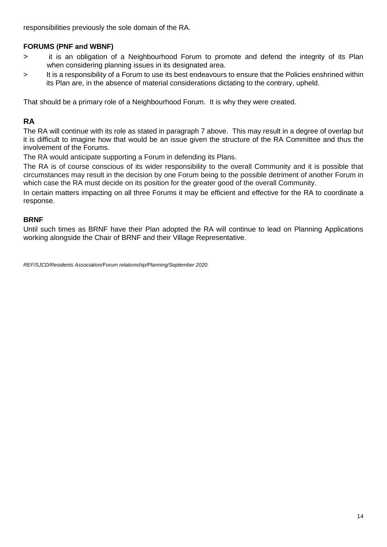responsibilities previously the sole domain of the RA.

# **FORUMS (PNF and WBNF)**

- > it is an obligation of a Neighbourhood Forum to promote and defend the integrity of its Plan when considering planning issues in its designated area.
- > It is a responsibility of a Forum to use its best endeavours to ensure that the Policies enshrined within its Plan are, in the absence of material considerations dictating to the contrary, upheld.

That should be a primary role of a Neighbourhood Forum. It is why they were created.

# **RA**

The RA will continue with its role as stated in paragraph 7 above. This may result in a degree of overlap but it is difficult to imagine how that would be an issue given the structure of the RA Committee and thus the involvement of the Forums.

The RA would anticipate supporting a Forum in defending its Plans.

The RA is of course conscious of its wider responsibility to the overall Community and it is possible that circumstances may result in the decision by one Forum being to the possible detriment of another Forum in which case the RA must decide on its position for the greater good of the overall Community.

In certain matters impacting on all three Forums it may be efficient and effective for the RA to coordinate a response.

### **BRNF**

Until such times as BRNF have their Plan adopted the RA will continue to lead on Planning Applications working alongside the Chair of BRNF and their Village Representative.

*REF/SJCD/Residents Association/Forum relationship/Planning/September 2020.*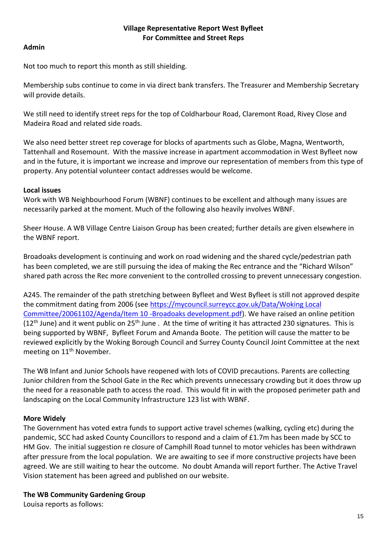## **Village Representative Report West Byfleet For Committee and Street Reps**

## **Admin**

Not too much to report this month as still shielding.

Membership subs continue to come in via direct bank transfers. The Treasurer and Membership Secretary will provide details.

We still need to identify street reps for the top of Coldharbour Road, Claremont Road, Rivey Close and Madeira Road and related side roads.

We also need better street rep coverage for blocks of apartments such as Globe, Magna, Wentworth, Tattenhall and Rosemount. With the massive increase in apartment accommodation in West Byfleet now and in the future, it is important we increase and improve our representation of members from this type of property. Any potential volunteer contact addresses would be welcome.

## **Local issues**

Work with WB Neighbourhood Forum (WBNF) continues to be excellent and although many issues are necessarily parked at the moment. Much of the following also heavily involves WBNF.

Sheer House. A WB Village Centre Liaison Group has been created; further details are given elsewhere in the WBNF report.

Broadoaks development is continuing and work on road widening and the shared cycle/pedestrian path has been completed, we are still pursuing the idea of making the Rec entrance and the "Richard Wilson" shared path across the Rec more convenient to the controlled crossing to prevent unnecessary congestion.

A245. The remainder of the path stretching between Byfleet and West Byfleet is still not approved despite the commitment dating from 2006 (see [https://mycouncil.surreycc.gov.uk/Data/Woking Local](https://mycouncil.surreycc.gov.uk/Data/Woking%20Local%20Committee/20061102/Agenda/Item%2010%20-Broadoaks%20development.pdf)  [Committee/20061102/Agenda/Item 10 -Broadoaks development.pdf\)](https://mycouncil.surreycc.gov.uk/Data/Woking%20Local%20Committee/20061102/Agenda/Item%2010%20-Broadoaks%20development.pdf). We have raised an online petition (12<sup>th</sup> June) and it went public on 25<sup>th</sup> June . At the time of writing it has attracted 230 signatures. This is being supported by WBNF, Byfleet Forum and Amanda Boote. The petition will cause the matter to be reviewed explicitly by the Woking Borough Council and Surrey County Council Joint Committee at the next meeting on 11<sup>th</sup> November.

The WB Infant and Junior Schools have reopened with lots of COVID precautions. Parents are collecting Junior children from the School Gate in the Rec which prevents unnecessary crowding but it does throw up the need for a reasonable path to access the road. This would fit in with the proposed perimeter path and landscaping on the Local Community Infrastructure 123 list with WBNF.

# **More Widely**

The Government has voted extra funds to support active travel schemes (walking, cycling etc) during the pandemic, SCC had asked County Councillors to respond and a claim of £1.7m has been made by SCC to HM Gov. The initial suggestion re closure of Camphill Road tunnel to motor vehicles has been withdrawn after pressure from the local population. We are awaiting to see if more constructive projects have been agreed. We are still waiting to hear the outcome. No doubt Amanda will report further. The Active Travel Vision statement has been agreed and published on our website.

# **The WB Community Gardening Group**

Louisa reports as follows: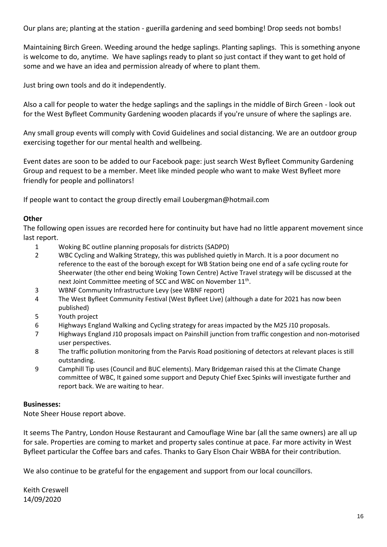Our plans are; planting at the station - guerilla gardening and seed bombing! Drop seeds not bombs!

Maintaining Birch Green. Weeding around the hedge saplings. Planting saplings. This is something anyone is welcome to do, anytime. We have saplings ready to plant so just contact if they want to get hold of some and we have an idea and permission already of where to plant them.

Just bring own tools and do it independently.

Also a call for people to water the hedge saplings and the saplings in the middle of Birch Green - look out for the West Byfleet Community Gardening wooden placards if you're unsure of where the saplings are.

Any small group events will comply with Covid Guidelines and social distancing. We are an outdoor group exercising together for our mental health and wellbeing.

Event dates are soon to be added to our Facebook page: just search West Byfleet Community Gardening Group and request to be a member. Meet like minded people who want to make West Byfleet more friendly for people and pollinators!

If people want to contact the group directly email Loubergman@hotmail.com

# **Other**

The following open issues are recorded here for continuity but have had no little apparent movement since last report.

- 1 Woking BC outline planning proposals for districts (SADPD)
- 2 WBC Cycling and Walking Strategy, this was published quietly in March. It is a poor document no reference to the east of the borough except for WB Station being one end of a safe cycling route for Sheerwater (the other end being Woking Town Centre) Active Travel strategy will be discussed at the next Joint Committee meeting of SCC and WBC on November 11<sup>th</sup>.
- 3 WBNF Community Infrastructure Levy (see WBNF report)
- 4 The West Byfleet Community Festival (West Byfleet Live) (although a date for 2021 has now been published)
- 5 Youth project
- 6 Highways England Walking and Cycling strategy for areas impacted by the M25 J10 proposals.
- 7 Highways England J10 proposals impact on Painshill junction from traffic congestion and non-motorised user perspectives.
- 8 The traffic pollution monitoring from the Parvis Road positioning of detectors at relevant places is still outstanding.
- 9 Camphill Tip uses (Council and BUC elements). Mary Bridgeman raised this at the Climate Change committee of WBC, It gained some support and Deputy Chief Exec Spinks will investigate further and report back. We are waiting to hear.

# **Businesses:**

Note Sheer House report above.

It seems The Pantry, London House Restaurant and Camouflage Wine bar (all the same owners) are all up for sale. Properties are coming to market and property sales continue at pace. Far more activity in West Byfleet particular the Coffee bars and cafes. Thanks to Gary Elson Chair WBBA for their contribution.

We also continue to be grateful for the engagement and support from our local councillors.

Keith Creswell 14/09/2020